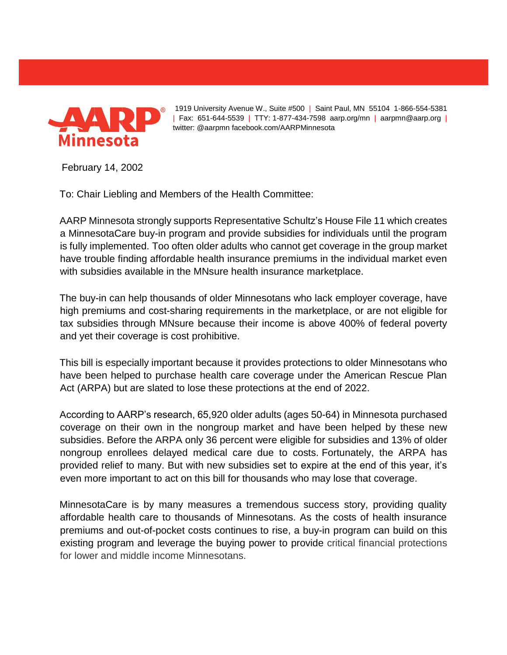

1919 University Avenue W., Suite #500 | Saint Paul, MN 55104 1-866-554-5381 | Fax: 651-644-5539 | TTY: 1-877-434-7598 aarp.org/mn | aarpmn@aarp.org | twitter: @aarpmn facebook.com/AARPMinnesota

February 14, 2002

To: Chair Liebling and Members of the Health Committee:

AARP Minnesota strongly supports Representative Schultz's House File 11 which creates a MinnesotaCare buy-in program and provide subsidies for individuals until the program is fully implemented. Too often older adults who cannot get coverage in the group market have trouble finding affordable health insurance premiums in the individual market even with subsidies available in the MNsure health insurance marketplace.

The buy-in can help thousands of older Minnesotans who lack employer coverage, have high premiums and cost-sharing requirements in the marketplace, or are not eligible for tax subsidies through MNsure because their income is above 400% of federal poverty and yet their coverage is cost prohibitive.

This bill is especially important because it provides protections to older Minnesotans who have been helped to purchase health care coverage under the American Rescue Plan Act (ARPA) but are slated to lose these protections at the end of 2022.

According to AARP's research, 65,920 older adults (ages 50-64) in Minnesota purchased coverage on their own in the nongroup market and have been helped by these new subsidies. Before the ARPA only 36 percent were eligible for subsidies and 13% of older nongroup enrollees delayed medical care due to costs. Fortunately, the ARPA has provided relief to many. But with new subsidies set to expire at the end of this year, it's even more important to act on this bill for thousands who may lose that coverage.

MinnesotaCare is by many measures a tremendous success story, providing quality affordable health care to thousands of Minnesotans. As the costs of health insurance premiums and out-of-pocket costs continues to rise, a buy-in program can build on this existing program and leverage the buying power to provide critical financial protections for lower and middle income Minnesotans.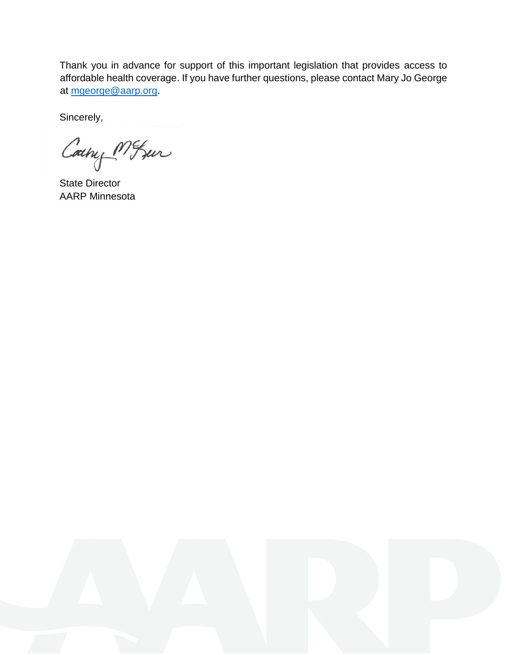Thank you in advance for support of this important legislation that provides access to affordable health coverage. If you have further questions, please contact Mary Jo George at [mgeorge@aarp.org.](mailto:mgeorge@aarp.org)

Sincerely,

Couny MISur

State Director AARP Minnesota